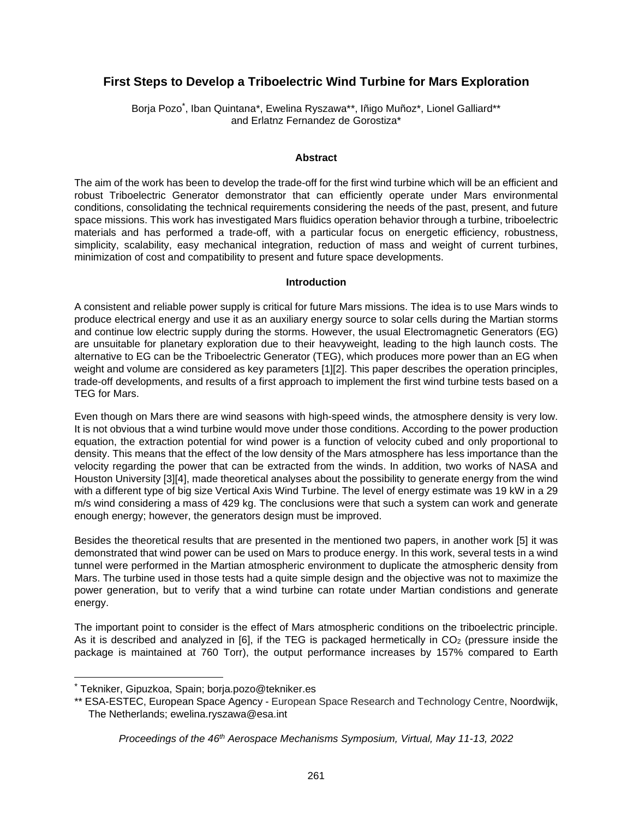# **First Steps to Develop a Triboelectric Wind Turbine for Mars Exploration**

Borja Pozo[\\*](#page-0-0) , Iban Quintana\*, Ewelina Ryszawa\*\*, Iñigo Muñoz\*, Lionel Galliard\*\* and Erlatnz Fernandez de Gorostiza\*

#### **Abstract**

The aim of the work has been to develop the trade-off for the first wind turbine which will be an efficient and robust Triboelectric Generator demonstrator that can efficiently operate under Mars environmental conditions, consolidating the technical requirements considering the needs of the past, present, and future space missions. This work has investigated Mars fluidics operation behavior through a turbine, triboelectric materials and has performed a trade-off, with a particular focus on energetic efficiency, robustness, simplicity, scalability, easy mechanical integration, reduction of mass and weight of current turbines, minimization of cost and compatibility to present and future space developments.

#### **Introduction**

A consistent and reliable power supply is critical for future Mars missions. The idea is to use Mars winds to produce electrical energy and use it as an auxiliary energy source to solar cells during the Martian storms and continue low electric supply during the storms. However, the usual Electromagnetic Generators (EG) are unsuitable for planetary exploration due to their heavyweight, leading to the high launch costs. The alternative to EG can be the Triboelectric Generator (TEG), which produces more power than an EG when weight and volume are considered as key parameters [1][2]. This paper describes the operation principles, trade-off developments, and results of a first approach to implement the first wind turbine tests based on a TEG for Mars.

Even though on Mars there are wind seasons with high-speed winds, the atmosphere density is very low. It is not obvious that a wind turbine would move under those conditions. According to the power production equation, the extraction potential for wind power is a function of velocity cubed and only proportional to density. This means that the effect of the low density of the Mars atmosphere has less importance than the velocity regarding the power that can be extracted from the winds. In addition, two works of NASA and Houston University [3][4], made theoretical analyses about the possibility to generate energy from the wind with a different type of big size Vertical Axis Wind Turbine. The level of energy estimate was 19 kW in a 29 m/s wind considering a mass of 429 kg. The conclusions were that such a system can work and generate enough energy; however, the generators design must be improved.

Besides the theoretical results that are presented in the mentioned two papers, in another work [5] it was demonstrated that wind power can be used on Mars to produce energy. In this work, several tests in a wind tunnel were performed in the Martian atmospheric environment to duplicate the atmospheric density from Mars. The turbine used in those tests had a quite simple design and the objective was not to maximize the power generation, but to verify that a wind turbine can rotate under Martian condistions and generate energy.

The important point to consider is the effect of Mars atmospheric conditions on the triboelectric principle. As it is described and analyzed in  $[6]$ , if the TEG is packaged hermetically in  $CO<sub>2</sub>$  (pressure inside the package is maintained at 760 Torr), the output performance increases by 157% compared to Earth

<span id="page-0-0"></span><sup>\*</sup> Tekniker, Gipuzkoa, Spain; borja.pozo@tekniker.es

<sup>\*\*</sup> ESA-ESTEC, European Space Agency - European Space Research and Technology Centre, Noordwijk, The Netherlands; ewelina.ryszawa@esa.int

*Proceedings of the 46th Aerospace Mechanisms Symposium, Virtual, May 11-13, 2022*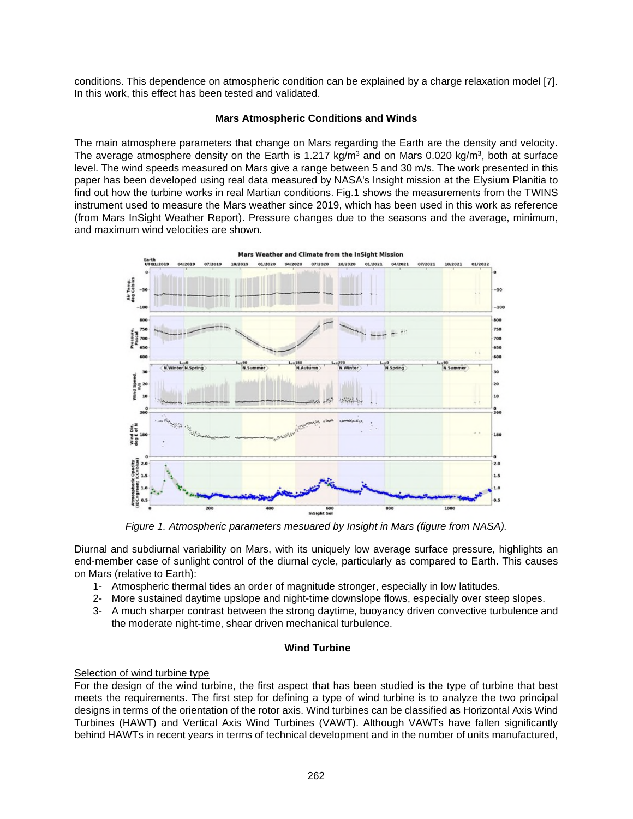conditions. This dependence on atmospheric condition can be explained by a charge relaxation model [7]. In this work, this effect has been tested and validated.

## **Mars Atmospheric Conditions and Winds**

The main atmosphere parameters that change on Mars regarding the Earth are the density and velocity. The average atmosphere density on the Earth is 1.217 kg/m<sup>3</sup> and on Mars 0.020 kg/m<sup>3</sup>, both at surface level. The wind speeds measured on Mars give a range between 5 and 30 m/s. The work presented in this paper has been developed using real data measured by NASA's Insight mission at the Elysium Planitia to find out how the turbine works in real Martian conditions. Fig.1 shows the measurements from the TWINS instrument used to measure the Mars weather since 2019, which has been used in this work as reference (from Mars InSight Weather Report). Pressure changes due to the seasons and the average, minimum, and maximum wind velocities are shown.



*Figure 1. Atmospheric parameters mesuared by Insight in Mars (figure from NASA).* 

Diurnal and subdiurnal variability on Mars, with its uniquely low average surface pressure, highlights an end-member case of sunlight control of the diurnal cycle, particularly as compared to Earth. This causes on Mars (relative to Earth):

- 1- Atmospheric thermal tides an order of magnitude stronger, especially in low latitudes.
- 2- More sustained daytime upslope and night-time downslope flows, especially over steep slopes.
- 3- A much sharper contrast between the strong daytime, buoyancy driven convective turbulence and the moderate night-time, shear driven mechanical turbulence.

## **Wind Turbine**

## Selection of wind turbine type

For the design of the wind turbine, the first aspect that has been studied is the type of turbine that best meets the requirements. The first step for defining a type of wind turbine is to analyze the two principal designs in terms of the orientation of the rotor axis. Wind turbines can be classified as Horizontal Axis Wind Turbines (HAWT) and Vertical Axis Wind Turbines (VAWT). Although VAWTs have fallen significantly behind HAWTs in recent years in terms of technical development and in the number of units manufactured,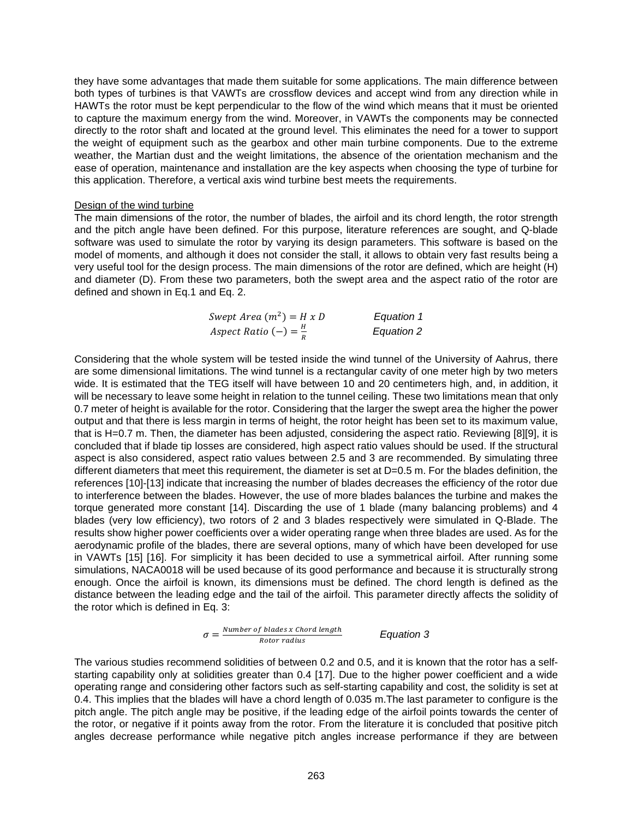they have some advantages that made them suitable for some applications. The main difference between both types of turbines is that VAWTs are crossflow devices and accept wind from any direction while in HAWTs the rotor must be kept perpendicular to the flow of the wind which means that it must be oriented to capture the maximum energy from the wind. Moreover, in VAWTs the components may be connected directly to the rotor shaft and located at the ground level. This eliminates the need for a tower to support the weight of equipment such as the gearbox and other main turbine components. Due to the extreme weather, the Martian dust and the weight limitations, the absence of the orientation mechanism and the ease of operation, maintenance and installation are the key aspects when choosing the type of turbine for this application. Therefore, a vertical axis wind turbine best meets the requirements.

#### Design of the wind turbine

The main dimensions of the rotor, the number of blades, the airfoil and its chord length, the rotor strength and the pitch angle have been defined. For this purpose, literature references are sought, and Q-blade software was used to simulate the rotor by varying its design parameters. This software is based on the model of moments, and although it does not consider the stall, it allows to obtain very fast results being a very useful tool for the design process. The main dimensions of the rotor are defined, which are height (H) and diameter (D). From these two parameters, both the swept area and the aspect ratio of the rotor are defined and shown in Eq.1 and Eq. 2.

| Swept Area $(m^2) = H x D$       | Equation 1 |
|----------------------------------|------------|
| Aspect Ratio $(-) = \frac{H}{R}$ | Equation 2 |

Considering that the whole system will be tested inside the wind tunnel of the University of Aahrus, there are some dimensional limitations. The wind tunnel is a rectangular cavity of one meter high by two meters wide. It is estimated that the TEG itself will have between 10 and 20 centimeters high, and, in addition, it will be necessary to leave some height in relation to the tunnel ceiling. These two limitations mean that only 0.7 meter of height is available for the rotor. Considering that the larger the swept area the higher the power output and that there is less margin in terms of height, the rotor height has been set to its maximum value, that is H=0.7 m. Then, the diameter has been adjusted, considering the aspect ratio. Reviewing [8][9], it is concluded that if blade tip losses are considered, high aspect ratio values should be used. If the structural aspect is also considered, aspect ratio values between 2.5 and 3 are recommended. By simulating three different diameters that meet this requirement, the diameter is set at D=0.5 m. For the blades definition, the references [10]-[13] indicate that increasing the number of blades decreases the efficiency of the rotor due to interference between the blades. However, the use of more blades balances the turbine and makes the torque generated more constant [14]. Discarding the use of 1 blade (many balancing problems) and 4 blades (very low efficiency), two rotors of 2 and 3 blades respectively were simulated in Q-Blade. The results show higher power coefficients over a wider operating range when three blades are used. As for the aerodynamic profile of the blades, there are several options, many of which have been developed for use in VAWTs [15] [16]. For simplicity it has been decided to use a symmetrical airfoil. After running some simulations, NACA0018 will be used because of its good performance and because it is structurally strong enough. Once the airfoil is known, its dimensions must be defined. The chord length is defined as the distance between the leading edge and the tail of the airfoil. This parameter directly affects the solidity of the rotor which is defined in Eq. 3:

$$
\sigma = \frac{Number\ of\ blades\ x\ Chord\ length}{Rotor\ radius}
$$
 Equation 3

The various studies recommend solidities of between 0.2 and 0.5, and it is known that the rotor has a selfstarting capability only at solidities greater than 0.4 [17]. Due to the higher power coefficient and a wide operating range and considering other factors such as self-starting capability and cost, the solidity is set at 0.4. This implies that the blades will have a chord length of 0.035 m.The last parameter to configure is the pitch angle. The pitch angle may be positive, if the leading edge of the airfoil points towards the center of the rotor, or negative if it points away from the rotor. From the literature it is concluded that positive pitch angles decrease performance while negative pitch angles increase performance if they are between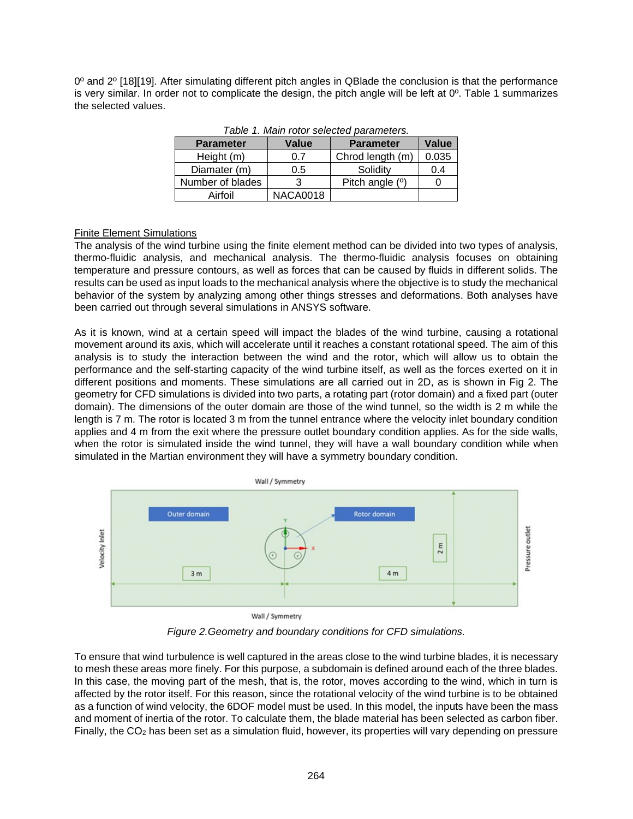0º and 2º [18][19]. After simulating different pitch angles in QBlade the conclusion is that the performance is very similar. In order not to complicate the design, the pitch angle will be left at  $0^\circ$ . Table 1 summarizes the selected values.

| <b>Parameter</b> | <b>Value</b>    | <b>Parameter</b> | Value |
|------------------|-----------------|------------------|-------|
| Height (m)       | 0.7             | Chrod length (m) | 0.035 |
| Diamater (m)     | 0.5             | Solidity         | 0.4   |
| Number of blades |                 | Pitch angle (°)  |       |
| Airfoil          | <b>NACA0018</b> |                  |       |

*Table 1. Main rotor selected parameters.* 

## Finite Element Simulations

The analysis of the wind turbine using the finite element method can be divided into two types of analysis, thermo-fluidic analysis, and mechanical analysis. The thermo-fluidic analysis focuses on obtaining temperature and pressure contours, as well as forces that can be caused by fluids in different solids. The results can be used as input loads to the mechanical analysis where the objective is to study the mechanical behavior of the system by analyzing among other things stresses and deformations. Both analyses have been carried out through several simulations in ANSYS software.

As it is known, wind at a certain speed will impact the blades of the wind turbine, causing a rotational movement around its axis, which will accelerate until it reaches a constant rotational speed. The aim of this analysis is to study the interaction between the wind and the rotor, which will allow us to obtain the performance and the self-starting capacity of the wind turbine itself, as well as the forces exerted on it in different positions and moments. These simulations are all carried out in 2D, as is shown in Fig 2. The geometry for CFD simulations is divided into two parts, a rotating part (rotor domain) and a fixed part (outer domain). The dimensions of the outer domain are those of the wind tunnel, so the width is 2 m while the length is 7 m. The rotor is located 3 m from the tunnel entrance where the velocity inlet boundary condition applies and 4 m from the exit where the pressure outlet boundary condition applies. As for the side walls, when the rotor is simulated inside the wind tunnel, they will have a wall boundary condition while when simulated in the Martian environment they will have a symmetry boundary condition.



Wall / Symmetry

*Figure 2.Geometry and boundary conditions for CFD simulations.* 

To ensure that wind turbulence is well captured in the areas close to the wind turbine blades, it is necessary to mesh these areas more finely. For this purpose, a subdomain is defined around each of the three blades. In this case, the moving part of the mesh, that is, the rotor, moves according to the wind, which in turn is affected by the rotor itself. For this reason, since the rotational velocity of the wind turbine is to be obtained as a function of wind velocity, the 6DOF model must be used. In this model, the inputs have been the mass and moment of inertia of the rotor. To calculate them, the blade material has been selected as carbon fiber. Finally, the  $CO<sub>2</sub>$  has been set as a simulation fluid, however, its properties will vary depending on pressure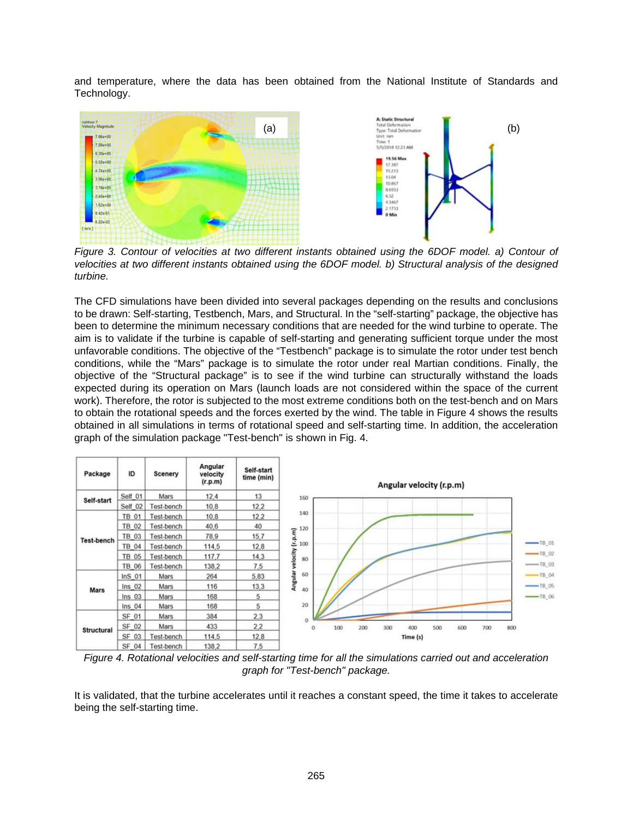and temperature, where the data has been obtained from the National Institute of Standards and Technology.



*Figure 3. Contour of velocities at two different instants obtained using the 6DOF model. a) Contour of velocities at two different instants obtained using the 6DOF model. b) Structural analysis of the designed turbine.* 

The CFD simulations have been divided into several packages depending on the results and conclusions to be drawn: Self-starting, Testbench, Mars, and Structural. In the "self-starting" package, the objective has been to determine the minimum necessary conditions that are needed for the wind turbine to operate. The aim is to validate if the turbine is capable of self-starting and generating sufficient torque under the most unfavorable conditions. The objective of the "Testbench" package is to simulate the rotor under test bench conditions, while the "Mars" package is to simulate the rotor under real Martian conditions. Finally, the objective of the "Structural package" is to see if the wind turbine can structurally withstand the loads expected during its operation on Mars (launch loads are not considered within the space of the current work). Therefore, the rotor is subjected to the most extreme conditions both on the test-bench and on Mars to obtain the rotational speeds and the forces exerted by the wind. The table in Figure 4 shows the results obtained in all simulations in terms of rotational speed and self-starting time. In addition, the acceleration graph of the simulation package "Test-bench" is shown in Fig. 4.



*Figure 4. Rotational velocities and self-starting time for all the simulations carried out and acceleration graph for "Test-bench" package.* 

It is validated, that the turbine accelerates until it reaches a constant speed, the time it takes to accelerate being the self-starting time.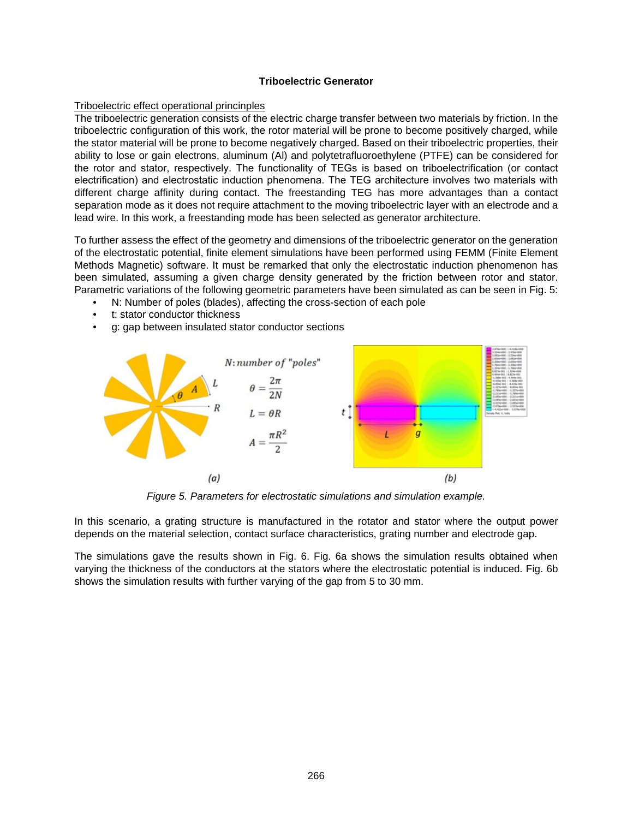### **Triboelectric Generator**

### Triboelectric effect operational princinples

The triboelectric generation consists of the electric charge transfer between two materials by friction. In the triboelectric configuration of this work, the rotor material will be prone to become positively charged, while the stator material will be prone to become negatively charged. Based on their triboelectric properties, their ability to lose or gain electrons, aluminum (Al) and polytetrafluoroethylene (PTFE) can be considered for the rotor and stator, respectively. The functionality of TEGs is based on triboelectrification (or contact electrification) and electrostatic induction phenomena. The TEG architecture involves two materials with different charge affinity during contact. The freestanding TEG has more advantages than a contact separation mode as it does not require attachment to the moving triboelectric layer with an electrode and a lead wire. In this work, a freestanding mode has been selected as generator architecture.

To further assess the effect of the geometry and dimensions of the triboelectric generator on the generation of the electrostatic potential, finite element simulations have been performed using FEMM (Finite Element Methods Magnetic) software. It must be remarked that only the electrostatic induction phenomenon has been simulated, assuming a given charge density generated by the friction between rotor and stator. Parametric variations of the following geometric parameters have been simulated as can be seen in Fig. 5:

- N: Number of poles (blades), affecting the cross-section of each pole
- t: stator conductor thickness
- g: gap between insulated stator conductor sections



*Figure 5. Parameters for electrostatic simulations and simulation example.* 

In this scenario, a grating structure is manufactured in the rotator and stator where the output power depends on the material selection, contact surface characteristics, grating number and electrode gap.

The simulations gave the results shown in Fig. 6. Fig. 6a shows the simulation results obtained when varying the thickness of the conductors at the stators where the electrostatic potential is induced. Fig. 6b shows the simulation results with further varying of the gap from 5 to 30 mm.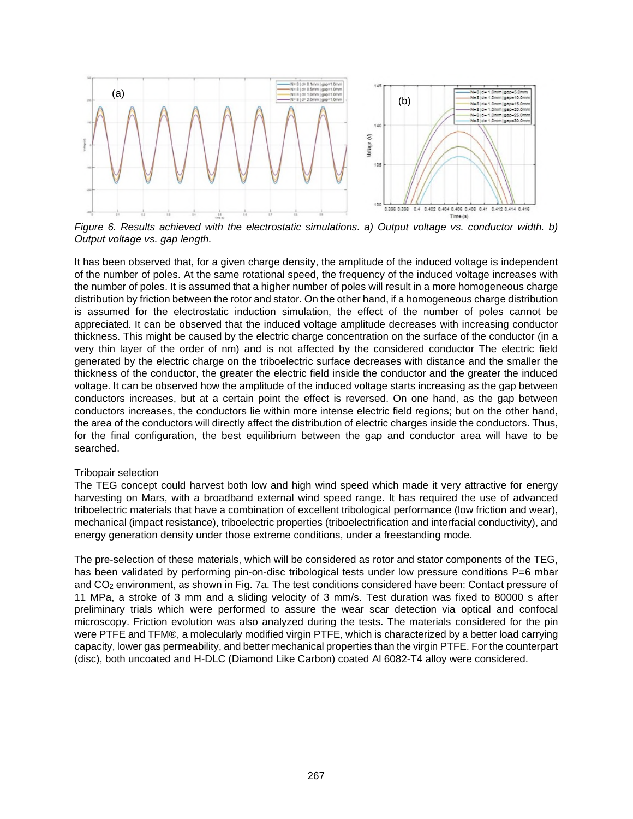

*Figure 6. Results achieved with the electrostatic simulations. a) Output voltage vs. conductor width. b) Output voltage vs. gap length.* 

It has been observed that, for a given charge density, the amplitude of the induced voltage is independent of the number of poles. At the same rotational speed, the frequency of the induced voltage increases with the number of poles. It is assumed that a higher number of poles will result in a more homogeneous charge distribution by friction between the rotor and stator. On the other hand, if a homogeneous charge distribution is assumed for the electrostatic induction simulation, the effect of the number of poles cannot be appreciated. It can be observed that the induced voltage amplitude decreases with increasing conductor thickness. This might be caused by the electric charge concentration on the surface of the conductor (in a very thin layer of the order of nm) and is not affected by the considered conductor The electric field generated by the electric charge on the triboelectric surface decreases with distance and the smaller the thickness of the conductor, the greater the electric field inside the conductor and the greater the induced voltage. It can be observed how the amplitude of the induced voltage starts increasing as the gap between conductors increases, but at a certain point the effect is reversed. On one hand, as the gap between conductors increases, the conductors lie within more intense electric field regions; but on the other hand, the area of the conductors will directly affect the distribution of electric charges inside the conductors. Thus, for the final configuration, the best equilibrium between the gap and conductor area will have to be searched.

#### Tribopair selection

The TEG concept could harvest both low and high wind speed which made it very attractive for energy harvesting on Mars, with a broadband external wind speed range. It has required the use of advanced triboelectric materials that have a combination of excellent tribological performance (low friction and wear), mechanical (impact resistance), triboelectric properties (triboelectrification and interfacial conductivity), and energy generation density under those extreme conditions, under a freestanding mode.

The pre-selection of these materials, which will be considered as rotor and stator components of the TEG, has been validated by performing pin-on-disc tribological tests under low pressure conditions P=6 mbar and CO2 environment, as shown in Fig. 7a. The test conditions considered have been: Contact pressure of 11 MPa, a stroke of 3 mm and a sliding velocity of 3 mm/s. Test duration was fixed to 80000 s after preliminary trials which were performed to assure the wear scar detection via optical and confocal microscopy. Friction evolution was also analyzed during the tests. The materials considered for the pin were PTFE and TFM®, a molecularly modified virgin PTFE, which is characterized by a better load carrying capacity, lower gas permeability, and better mechanical properties than the virgin PTFE. For the counterpart (disc), both uncoated and H-DLC (Diamond Like Carbon) coated Al 6082-T4 alloy were considered.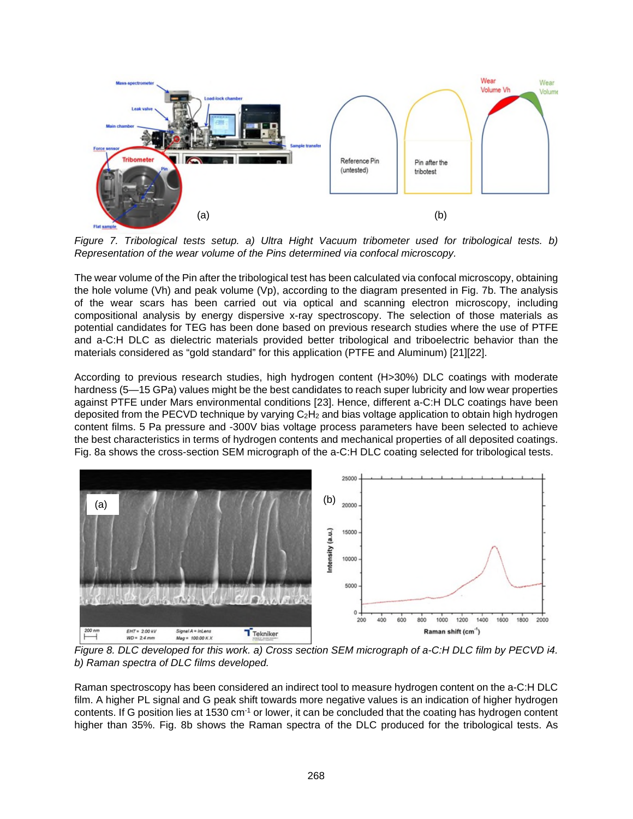

*Figure 7. Tribological tests setup. a) Ultra Hight Vacuum tribometer used for tribological tests. b) Representation of the wear volume of the Pins determined via confocal microscopy.* 

The wear volume of the Pin after the tribological test has been calculated via confocal microscopy, obtaining the hole volume (Vh) and peak volume (Vp), according to the diagram presented in Fig. 7b. The analysis of the wear scars has been carried out via optical and scanning electron microscopy, including compositional analysis by energy dispersive x-ray spectroscopy. The selection of those materials as potential candidates for TEG has been done based on previous research studies where the use of PTFE and a-C:H DLC as dielectric materials provided better tribological and triboelectric behavior than the materials considered as "gold standard" for this application (PTFE and Aluminum) [21][22].

According to previous research studies, high hydrogen content (H>30%) DLC coatings with moderate hardness (5—15 GPa) values might be the best candidates to reach super lubricity and low wear properties against PTFE under Mars environmental conditions [23]. Hence, different a-C:H DLC coatings have been deposited from the PECVD technique by varying  $C_2H_2$  and bias voltage application to obtain high hydrogen content films. 5 Pa pressure and -300V bias voltage process parameters have been selected to achieve the best characteristics in terms of hydrogen contents and mechanical properties of all deposited coatings. Fig. 8a shows the cross-section SEM micrograph of the a-C:H DLC coating selected for tribological tests.



*Figure 8. DLC developed for this work. a) Cross section SEM micrograph of a-C:H DLC film by PECVD i4. b) Raman spectra of DLC films developed.* 

Raman spectroscopy has been considered an indirect tool to measure hydrogen content on the a-C:H DLC film. A higher PL signal and G peak shift towards more negative values is an indication of higher hydrogen contents. If G position lies at 1530 cm<sup>-1</sup> or lower, it can be concluded that the coating has hydrogen content higher than 35%. Fig. 8b shows the Raman spectra of the DLC produced for the tribological tests. As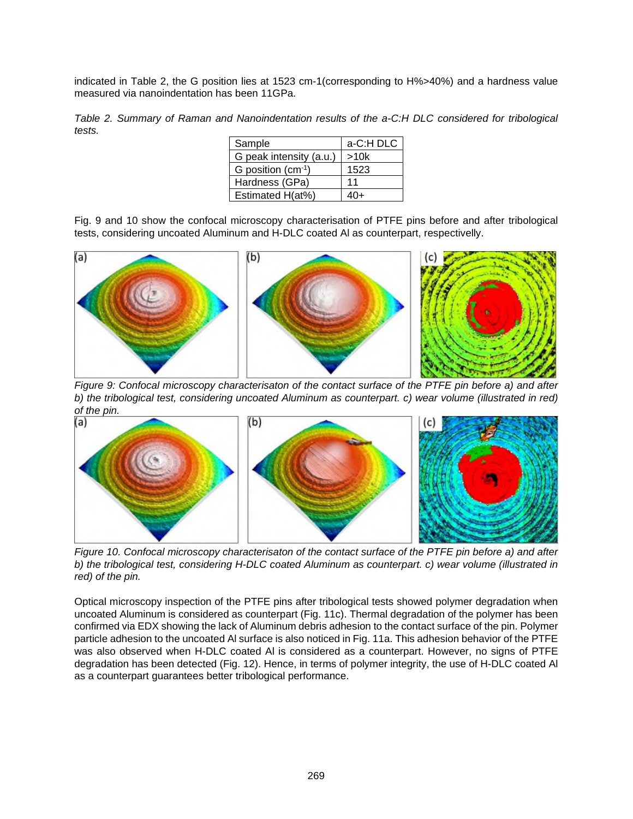indicated in Table 2, the G position lies at 1523 cm-1(corresponding to H%>40%) and a hardness value measured via nanoindentation has been 11GPa.

*Table 2. Summary of Raman and Nanoindentation results of the a-C:H DLC considered for tribological tests.* 

| Sample                  | a-C:H DLC |  |
|-------------------------|-----------|--|
| G peak intensity (a.u.) | >10k      |  |
| G position $(cm-1)$     | 1523      |  |
| Hardness (GPa)          | 11        |  |
| Estimated H(at%)        | 4∩⊥       |  |

Fig. 9 and 10 show the confocal microscopy characterisation of PTFE pins before and after tribological tests, considering uncoated Aluminum and H-DLC coated Al as counterpart, respectivelly.



*Figure 9: Confocal microscopy characterisaton of the contact surface of the PTFE pin before a) and after b) the tribological test, considering uncoated Aluminum as counterpart. c) wear volume (illustrated in red) of the pin.* 



*Figure 10. Confocal microscopy characterisaton of the contact surface of the PTFE pin before a) and after b) the tribological test, considering H-DLC coated Aluminum as counterpart. c) wear volume (illustrated in red) of the pin.* 

Optical microscopy inspection of the PTFE pins after tribological tests showed polymer degradation when uncoated Aluminum is considered as counterpart (Fig. 11c). Thermal degradation of the polymer has been confirmed via EDX showing the lack of Aluminum debris adhesion to the contact surface of the pin. Polymer particle adhesion to the uncoated Al surface is also noticed in Fig. 11a. This adhesion behavior of the PTFE was also observed when H-DLC coated Al is considered as a counterpart. However, no signs of PTFE degradation has been detected (Fig. 12). Hence, in terms of polymer integrity, the use of H-DLC coated Al as a counterpart guarantees better tribological performance.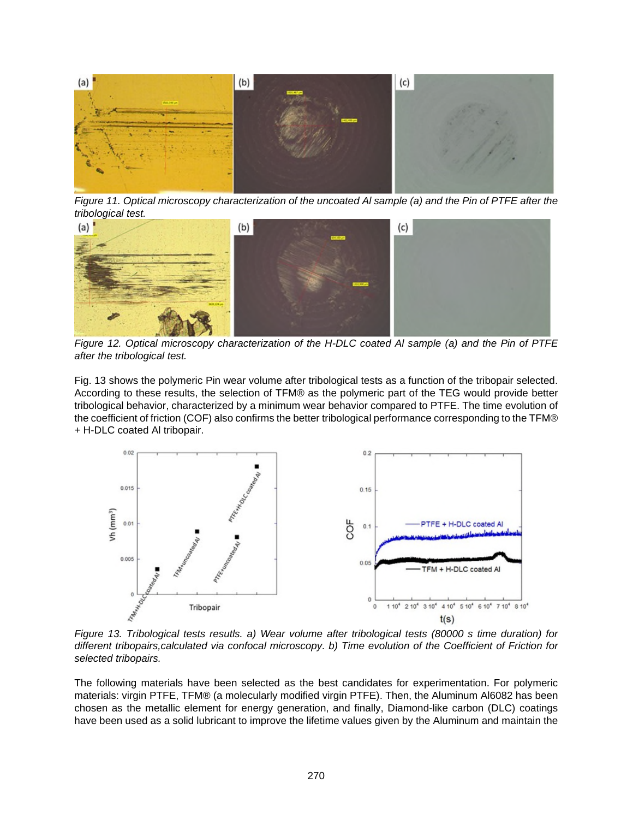

*Figure 11. Optical microscopy characterization of the uncoated Al sample (a) and the Pin of PTFE after the tribological test.* 



*Figure 12. Optical microscopy characterization of the H-DLC coated Al sample (a) and the Pin of PTFE after the tribological test.* 

Fig. 13 shows the polymeric Pin wear volume after tribological tests as a function of the tribopair selected. According to these results, the selection of TFM® as the polymeric part of the TEG would provide better tribological behavior, characterized by a minimum wear behavior compared to PTFE. The time evolution of the coefficient of friction (COF) also confirms the better tribological performance corresponding to the TFM® + H-DLC coated Al tribopair.



*Figure 13. Tribological tests resutls. a) Wear volume after tribological tests (80000 s time duration) for different tribopairs,calculated via confocal microscopy. b) Time evolution of the Coefficient of Friction for selected tribopairs.* 

The following materials have been selected as the best candidates for experimentation. For polymeric materials: virgin PTFE, TFM® (a molecularly modified virgin PTFE). Then, the Aluminum Al6082 has been chosen as the metallic element for energy generation, and finally, Diamond-like carbon (DLC) coatings have been used as a solid lubricant to improve the lifetime values given by the Aluminum and maintain the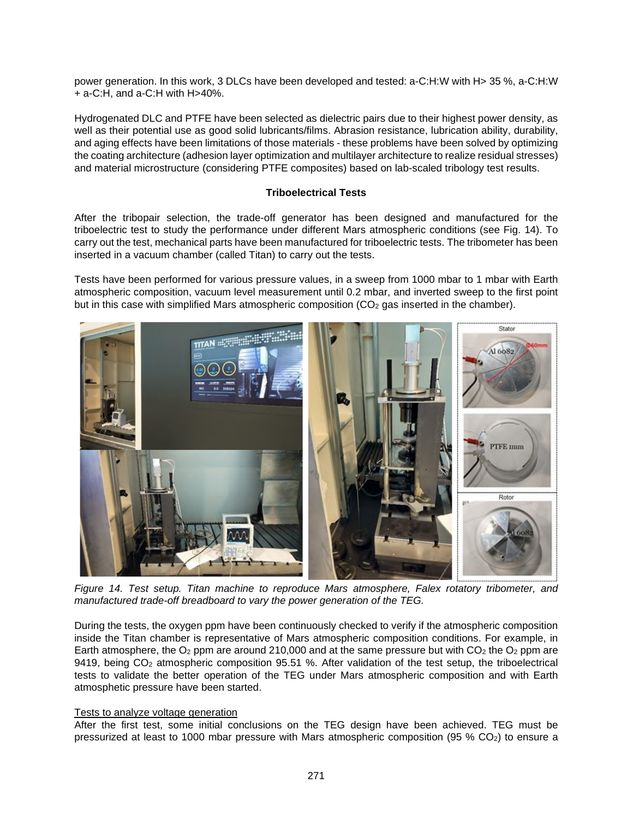power generation. In this work, 3 DLCs have been developed and tested: a-C:H:W with H> 35 %, a-C:H:W + a-C:H, and a-C:H with H>40%.

Hydrogenated DLC and PTFE have been selected as dielectric pairs due to their highest power density, as well as their potential use as good solid lubricants/films. Abrasion resistance, lubrication ability, durability, and aging effects have been limitations of those materials - these problems have been solved by optimizing the coating architecture (adhesion layer optimization and multilayer architecture to realize residual stresses) and material microstructure (considering PTFE composites) based on lab-scaled tribology test results.

## **Triboelectrical Tests**

After the tribopair selection, the trade-off generator has been designed and manufactured for the triboelectric test to study the performance under different Mars atmospheric conditions (see Fig. 14). To carry out the test, mechanical parts have been manufactured for triboelectric tests. The tribometer has been inserted in a vacuum chamber (called Titan) to carry out the tests.

Tests have been performed for various pressure values, in a sweep from 1000 mbar to 1 mbar with Earth atmospheric composition, vacuum level measurement until 0.2 mbar, and inverted sweep to the first point but in this case with simplified Mars atmospheric composition  $(CO<sub>2</sub>$  gas inserted in the chamber).



*Figure 14. Test setup. Titan machine to reproduce Mars atmosphere, Falex rotatory tribometer, and manufactured trade-off breadboard to vary the power generation of the TEG.* 

During the tests, the oxygen ppm have been continuously checked to verify if the atmospheric composition inside the Titan chamber is representative of Mars atmospheric composition conditions. For example, in Earth atmosphere, the  $O_2$  ppm are around 210,000 and at the same pressure but with  $CO_2$  the  $O_2$  ppm are 9419, being CO<sub>2</sub> atmospheric composition 95.51 %. After validation of the test setup, the triboelectrical tests to validate the better operation of the TEG under Mars atmospheric composition and with Earth atmosphetic pressure have been started.

#### Tests to analyze voltage generation

After the first test, some initial conclusions on the TEG design have been achieved. TEG must be pressurized at least to 1000 mbar pressure with Mars atmospheric composition (95 % CO2) to ensure a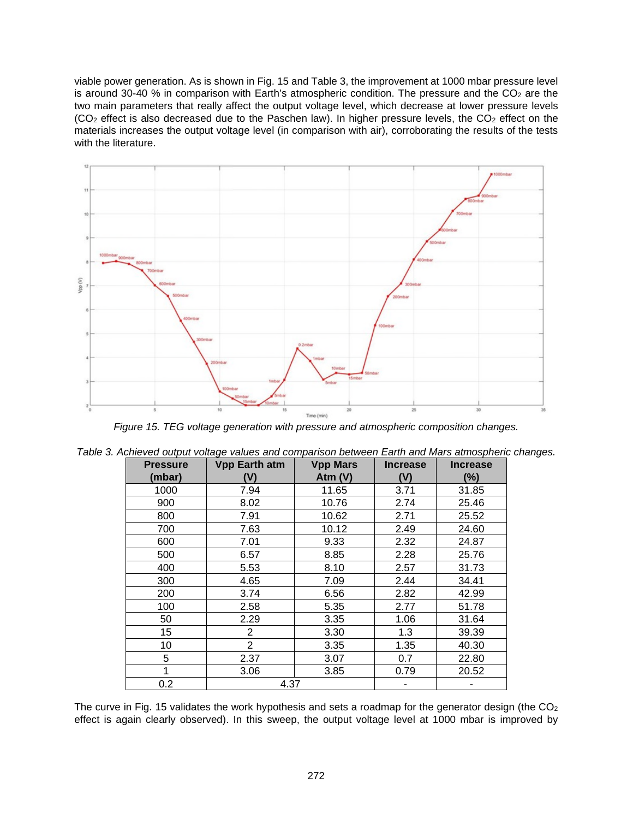viable power generation. As is shown in Fig. 15 and Table 3, the improvement at 1000 mbar pressure level is around 30-40 % in comparison with Earth's atmospheric condition. The pressure and the  $CO<sub>2</sub>$  are the two main parameters that really affect the output voltage level, which decrease at lower pressure levels  $(CO<sub>2</sub>$  effect is also decreased due to the Paschen law). In higher pressure levels, the  $CO<sub>2</sub>$  effect on the materials increases the output voltage level (in comparison with air), corroborating the results of the tests with the literature.



*Figure 15. TEG voltage generation with pressure and atmospheric composition changes.* 

| <b>Pressure</b><br>(mbar) | <b>Vpp Earth atm</b><br>(V) | <b>Vpp Mars</b><br>Atm $(V)$ | <b>Increase</b><br>(V) | <b>Increase</b><br>(%) |
|---------------------------|-----------------------------|------------------------------|------------------------|------------------------|
| 1000                      | 7.94                        | 11.65                        | 3.71                   | 31.85                  |
| 900                       | 8.02                        | 10.76                        | 2.74                   | 25.46                  |
| 800                       | 7.91                        | 10.62                        | 2.71                   | 25.52                  |
| 700                       | 7.63                        | 10.12                        | 2.49                   | 24.60                  |
| 600                       | 7.01                        | 9.33                         | 2.32                   | 24.87                  |
| 500                       | 6.57                        | 8.85                         | 2.28                   | 25.76                  |
| 400                       | 5.53                        | 8.10                         | 2.57                   | 31.73                  |
| 300                       | 4.65                        | 7.09                         | 2.44                   | 34.41                  |
| 200                       | 3.74                        | 6.56                         | 2.82                   | 42.99                  |
| 100                       | 2.58                        | 5.35                         | 2.77                   | 51.78                  |
| 50                        | 2.29                        | 3.35                         | 1.06                   | 31.64                  |
| 15                        | $\overline{2}$              | 3.30                         | 1.3                    | 39.39                  |
| 10                        | $\overline{2}$              | 3.35                         | 1.35                   | 40.30                  |
| 5                         | 2.37                        | 3.07                         | 0.7                    | 22.80                  |
|                           | 3.06                        | 3.85                         | 0.79                   | 20.52                  |
| 0.2                       | 4.37                        |                              |                        |                        |

|  |  |  |  |  |  | Table 3. Achieved output voltage values and comparison between Earth and Mars atmospheric changes. |
|--|--|--|--|--|--|----------------------------------------------------------------------------------------------------|
|--|--|--|--|--|--|----------------------------------------------------------------------------------------------------|

The curve in Fig. 15 validates the work hypothesis and sets a roadmap for the generator design (the  $CO<sub>2</sub>$ ) effect is again clearly observed). In this sweep, the output voltage level at 1000 mbar is improved by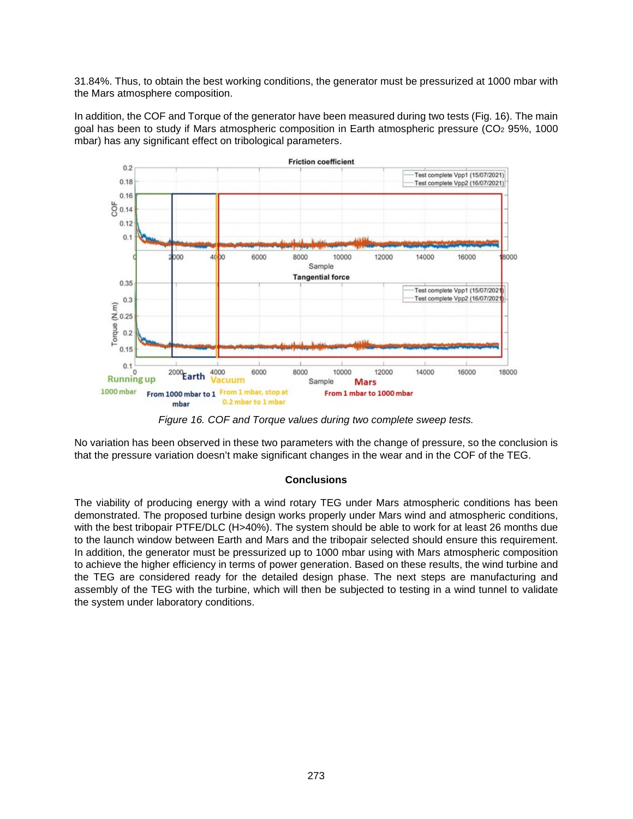31.84%. Thus, to obtain the best working conditions, the generator must be pressurized at 1000 mbar with the Mars atmosphere composition.

In addition, the COF and Torque of the generator have been measured during two tests (Fig. 16). The main goal has been to study if Mars atmospheric composition in Earth atmospheric pressure ( $CO<sub>2</sub>$  95%, 1000 mbar) has any significant effect on tribological parameters.



*Figure 16. COF and Torque values during two complete sweep tests.* 

No variation has been observed in these two parameters with the change of pressure, so the conclusion is that the pressure variation doesn't make significant changes in the wear and in the COF of the TEG.

## **Conclusions**

The viability of producing energy with a wind rotary TEG under Mars atmospheric conditions has been demonstrated. The proposed turbine design works properly under Mars wind and atmospheric conditions, with the best tribopair PTFE/DLC (H>40%). The system should be able to work for at least 26 months due to the launch window between Earth and Mars and the tribopair selected should ensure this requirement. In addition, the generator must be pressurized up to 1000 mbar using with Mars atmospheric composition to achieve the higher efficiency in terms of power generation. Based on these results, the wind turbine and the TEG are considered ready for the detailed design phase. The next steps are manufacturing and assembly of the TEG with the turbine, which will then be subjected to testing in a wind tunnel to validate the system under laboratory conditions.